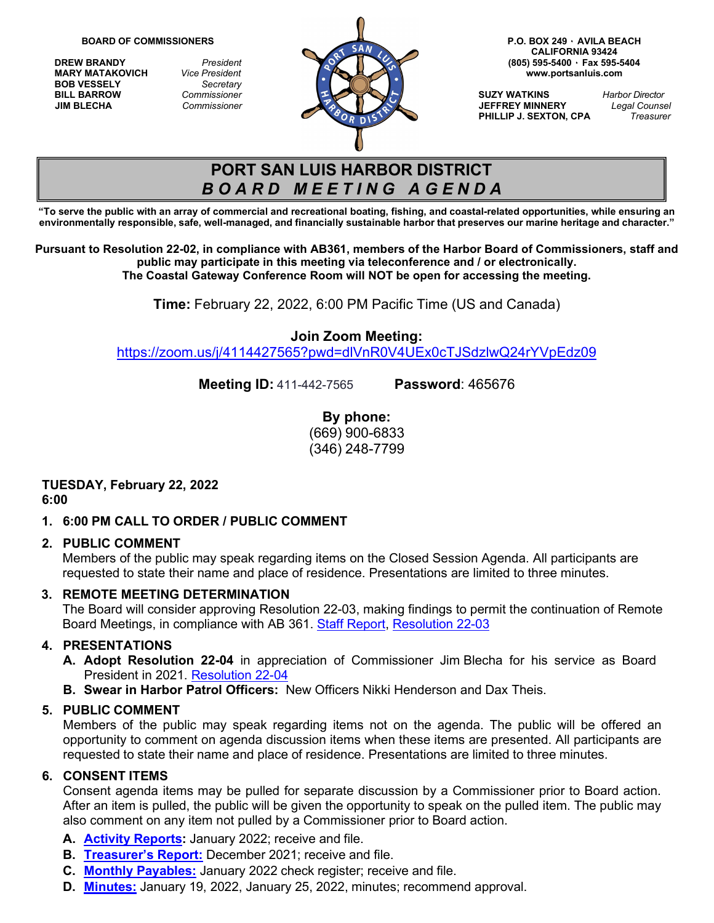**BOB VESSELY** *Secretary*



**CALIFORNIA 93424 MARY MATAKOVICH** *Vice President* **[www.portsanluis.com](http://www.portsanluis.com/)**

**PHILLIP J. SEXTON, CPA** 

# **PORT SAN LUIS HARBOR DISTRICT** *B O A R D M E E T I N G A G E N D A*

**"To serve the public with an array of commercial and recreational boating, fishing, and coastal-related opportunities, while ensuring an** environmentally responsible, safe, well-managed, and financially sustainable harbor that preserves our marine heritage and character."

**Pursuant to Resolution 22-02, in compliance with AB361, members of the Harbor Board of Commissioners, staff and public may participate in this meeting via teleconference and / or electronically. The Coastal Gateway Conference Room will NOT be open for accessing the meeting.** 

**Time:** February 22, 2022, 6:00 PM Pacific Time (US and Canada)

# **Join Zoom Meeting:**

<https://zoom.us/j/4114427565?pwd=dlVnR0V4UEx0cTJSdzlwQ24rYVpEdz09>

**Meeting ID:** 411-442-7565 **Password**: 465676

**By phone:** (669) 900-6833 (346) 248-7799

#### **TUESDAY, February 22, 2022 6:00**

# **1. 6:00 PM CALL TO ORDER / PUBLIC COMMENT**

# **2. PUBLIC COMMENT**

Members of the public may speak regarding items on the Closed Session Agenda. All participants are requested to state their name and place of residence. Presentations are limited to three minutes.

# **3. REMOTE MEETING DETERMINATION**

The Board will consider approving Resolution 22-03, making findings to permit the continuation of Remote Board Meetings, in compliance with AB 361. [Staff Report,](https://www.portsanluis.com/DocumentCenter/View/5957/RMD-22222---AB-361-Continued-staff-report-and-Resolution) [Resolution 22-03](https://www.portsanluis.com/DocumentCenter/View/5956/RMD---Reso-22-03-Authorizing-Contunuance-Teleconference-Meetings-of-the-Legislative-Bodies-of-the-PSLHD)

# **4. PRESENTATIONS**

- **A. Adopt Resolution 22-04** in appreciation of Commissioner Jim Blecha for his service as Board President in 2021. [Resolution 22-04](https://www.portsanluis.com/DocumentCenter/View/5955/Presentation-A---Reso-22-04-Commending-Jim-Blecha-for-Commissioner-President---final)
- **B. Swear in Harbor Patrol Officers:** New Officers Nikki Henderson and Dax Theis.

# **5. PUBLIC COMMENT**

Members of the public may speak regarding items not on the agenda. The public will be offered an opportunity to comment on agenda discussion items when these items are presented. All participants are requested to state their name and place of residence. Presentations are limited to three minutes.

# **6. CONSENT ITEMS**

Consent agenda items may be pulled for separate discussion by a Commissioner prior to Board action. After an item is pulled, the public will be given the opportunity to speak on the pulled item. The public may also comment on any item not pulled by a Commissioner prior to Board action.

- **A. Activity [Reports:](https://www.portsanluis.com/DocumentCenter/View/5935/Consent-A---PSL-January-2022-Activity-Report)** January 2022; receive and file.
- **B. [Treasurer's](https://www.portsanluis.com/DocumentCenter/View/5936/Consent-B---December-31-2021-Treasurers-Reprot) Report:** December 2021; receive and file.
- **C. Monthly [Payables:](https://www.portsanluis.com/DocumentCenter/View/5937/Consent-C---Monthly-Payables-for-Jan-2022-022222-BOC)** January 2022 check [register;](https://www.portsanluis.com/DocumentCenter/View/5272/Consent-Ca-07-check-register---January-2021) receive and file.
- **D. [Minutes:](https://www.portsanluis.com/DocumentCenter/View/5958/Consent-Da---011922-and-12522-Meeting-Minutes-DRAFT---board-packet)** January 19, 2022, January 25, 2022, minutes; recommend approval.